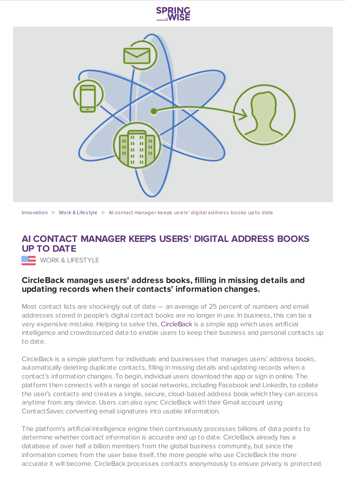



[Innovation](https://www.springwise.com/search?type=innovation)  $>$  [Work](https://www.springwise.com/search?type=innovation§or=work-lifestyle) & Lifestyle  $>$  AI contact manager keeps users' digital address books up to date

## **AI CONTACT MANAGER KEEPS USERS' DIGITAL ADDRESS BOOKS UP TO DATE**

**WORK & LIFESTYLE** 

## **CircleBack manages users' address books, filling in missing details and updating records when their contacts' information changes.**

Most contact lists are shockingly out of date — an average of 25 percent of numbers and email addresses stored in people's digital contact books are no longer in use. In business, this can be a very expensive mistake. Helping to solve this, [CircleBack](https://www.circleback.com/) is a simple app which uses artificial intelligence and crowdsourced data to enable users to keep their business and personal contacts up to date.

CircleBack is a simple platform for individuals and businesses that manages users' address books, automatically deleting duplicate contacts, filling in missing details and updating records when a contact's information changes. To begin, individual users download the app or sign in online. The platform then connects with a range of social networks, including Facebook and LinkedIn, to collate the user's contacts and creates a single, secure, cloud-based address book which they can access anytime from any device. Users can also sync CircleBack with their Gmail account using ContactSaver, converting email signatures into usable information.

The platform's artificial intelligence engine then continuously processes billions of data points to determine whether contact information is accurate and up to date. CircleBack already has a database of over half a billion members from the global business community, but since the information comes from the user base itself, the more people who use CircleBack the more accurate it will become. CircleBack processes contacts anonymously to ensure privacy is protected.